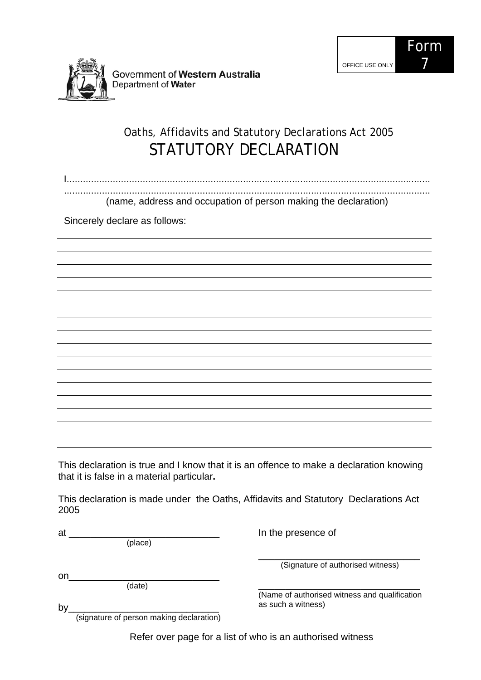



Government of Western Australia Department of Water

## Oaths, Affidavits and Statutory Declarations Act 2005 STATUTORY DECLARATION

I...................................................................................................................................... .......................................................................................................................................

(name, address and occupation of person making the declaration)

Sincerely declare as follows:

This declaration is true and I know that it is an offence to make a declaration knowing that it is false in a material particular**.** 

This declaration is made under the Oaths, Affidavits and Statutory Declarations Act 2005

(place)

In the presence of

on\_\_\_\_\_\_\_\_\_\_\_\_\_\_\_\_\_\_\_\_\_\_\_\_\_\_\_\_

 $at$   $\qquad \qquad \qquad$ 

(date)

\_\_\_\_\_\_\_\_\_\_\_\_\_\_\_\_\_\_\_\_\_\_\_\_\_\_\_\_\_\_ (Signature of authorised witness)

\_\_\_\_\_\_\_\_\_\_\_\_\_\_\_\_\_\_\_\_\_\_\_\_\_\_\_\_\_\_ (Name of authorised witness and qualification as such a witness)

by\_\_\_\_\_\_\_\_\_\_\_\_\_\_\_\_\_\_\_\_\_\_\_\_\_\_\_\_ (signature of person making declaration)

Refer over page for a list of who is an authorised witness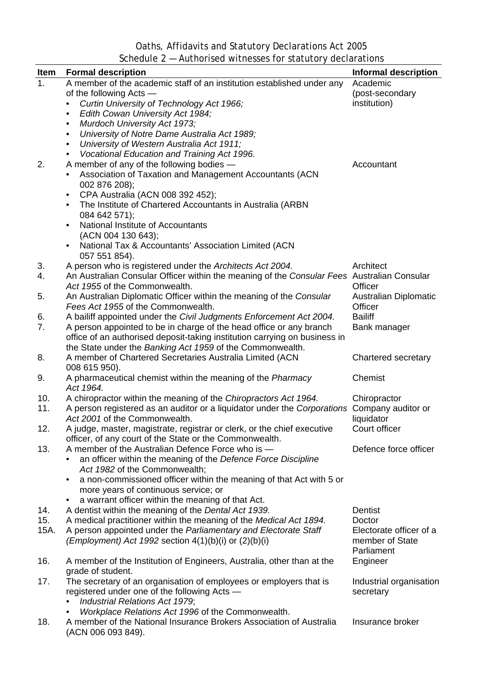Oaths, Affidavits and Statutory Declarations Act 2005 Schedule 2 — Authorised witnesses for statutory declarations

| <b>Item</b> | <b>Formal description</b>                                                                                                                                       | <b>Informal description</b>      |
|-------------|-----------------------------------------------------------------------------------------------------------------------------------------------------------------|----------------------------------|
| 1.          | A member of the academic staff of an institution established under any<br>of the following Acts -                                                               | Academic<br>(post-secondary      |
|             | Curtin University of Technology Act 1966;                                                                                                                       | institution)                     |
|             | Edith Cowan University Act 1984;<br>$\bullet$                                                                                                                   |                                  |
|             | Murdoch University Act 1973;<br>$\bullet$<br>University of Notre Dame Australia Act 1989;<br>$\bullet$                                                          |                                  |
|             | University of Western Australia Act 1911;<br>$\bullet$                                                                                                          |                                  |
|             | Vocational Education and Training Act 1996.<br>$\bullet$                                                                                                        |                                  |
| 2.          | A member of any of the following bodies -                                                                                                                       | Accountant                       |
|             | Association of Taxation and Management Accountants (ACN<br>002 876 208);                                                                                        |                                  |
|             | CPA Australia (ACN 008 392 452);                                                                                                                                |                                  |
|             | The Institute of Chartered Accountants in Australia (ARBN                                                                                                       |                                  |
|             | 084 642 571);<br>National Institute of Accountants                                                                                                              |                                  |
|             | (ACN 004 130 643);                                                                                                                                              |                                  |
|             | National Tax & Accountants' Association Limited (ACN<br>057 551 854).                                                                                           |                                  |
| 3.          | A person who is registered under the Architects Act 2004.                                                                                                       | Architect                        |
| 4.          | An Australian Consular Officer within the meaning of the Consular Fees Australian Consular<br>Act 1955 of the Commonwealth.                                     | Officer                          |
| 5.          | An Australian Diplomatic Officer within the meaning of the Consular<br>Fees Act 1955 of the Commonwealth.                                                       | Australian Diplomatic<br>Officer |
| 6.          | A bailiff appointed under the Civil Judgments Enforcement Act 2004.                                                                                             | <b>Bailiff</b>                   |
| 7.          | A person appointed to be in charge of the head office or any branch                                                                                             | Bank manager                     |
|             | office of an authorised deposit-taking institution carrying on business in                                                                                      |                                  |
|             | the State under the Banking Act 1959 of the Commonwealth.                                                                                                       |                                  |
| 8.          | A member of Chartered Secretaries Australia Limited (ACN<br>008 615 950).                                                                                       | Chartered secretary<br>Chemist   |
| 9.          | A pharmaceutical chemist within the meaning of the Pharmacy<br>Act 1964.                                                                                        |                                  |
| 10.<br>11.  | A chiropractor within the meaning of the Chiropractors Act 1964.<br>A person registered as an auditor or a liquidator under the Corporations Company auditor or | Chiropractor                     |
|             | Act 2001 of the Commonwealth.                                                                                                                                   | liquidator                       |
| 12.         | A judge, master, magistrate, registrar or clerk, or the chief executive                                                                                         | Court officer                    |
|             | officer, of any court of the State or the Commonwealth.                                                                                                         |                                  |
| 13.         | A member of the Australian Defence Force who is -                                                                                                               | Defence force officer            |
|             | an officer within the meaning of the Defence Force Discipline                                                                                                   |                                  |
|             | Act 1982 of the Commonwealth;                                                                                                                                   |                                  |
|             | a non-commissioned officer within the meaning of that Act with 5 or<br>$\bullet$                                                                                |                                  |
|             | more years of continuous service; or                                                                                                                            |                                  |
| 14.         | a warrant officer within the meaning of that Act.<br>٠<br>A dentist within the meaning of the Dental Act 1939.                                                  | Dentist                          |
| 15.         | A medical practitioner within the meaning of the Medical Act 1894.                                                                                              | Doctor                           |
| 15A.        | A person appointed under the Parliamentary and Electorate Staff                                                                                                 | Electorate officer of a          |
|             | <i>(Employment)</i> Act 1992 section $4(1)(b)(i)$ or $(2)(b)(i)$                                                                                                | member of State                  |
| 16.         | A member of the Institution of Engineers, Australia, other than at the                                                                                          | Parliament<br>Engineer           |
|             | grade of student.                                                                                                                                               |                                  |
| 17.         | The secretary of an organisation of employees or employers that is                                                                                              | Industrial organisation          |
|             | registered under one of the following Acts -                                                                                                                    | secretary                        |
|             | Industrial Relations Act 1979;                                                                                                                                  |                                  |
|             | Workplace Relations Act 1996 of the Commonwealth.                                                                                                               |                                  |
| 18.         | A member of the National Insurance Brokers Association of Australia<br>(ACN 006 093 849).                                                                       | Insurance broker                 |